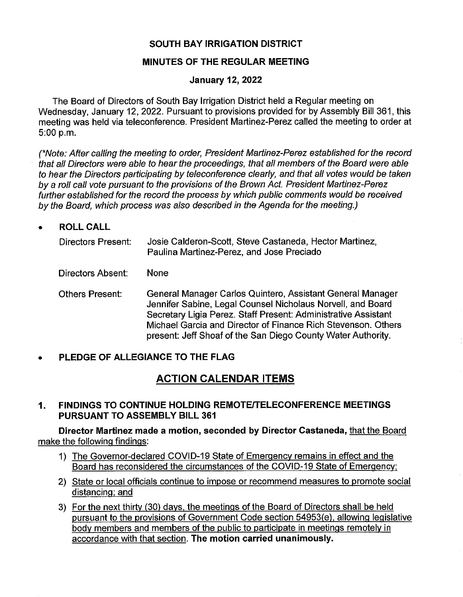## **SOUTH BAY IRRIGATION DISTRICT**

### **MINUTES OF THE REGULAR MEETING**

## **January 12, 2022**

The Board of Directors of South Bay Irrigation District held a Regular meeting on Wednesday, January 12, 2022. Pursuant to provisions provided for by Assembly Bill 361, this meeting was held via teleconference. President Martinez-Perez called the meeting to order at 5:00 p.m.

(\*Note: After calling the meeting to order, President Martinez-Perez established for the record that all Directors were able to hear the proceedings, that all members of the Board were able to hear the Directors participating by teleconference clearly, and that all votes would be taken by a roll call vote pursuant to the provisions of the Brown Act. President Martinez-Perez further established for the record the process by which public comments would be received by the Board, which process was also described in the Agenda for the meeting.)

• **ROLLCALL** 

| Directors Present: | Josie Calderon-Scott, Steve Castaneda, Hector Martinez, |
|--------------------|---------------------------------------------------------|
|                    | Paulina Martinez-Perez, and Jose Preciado               |

Directors Absent: None

Others Present: General Manager Carlos Quintero, Assistant General Manager Jennifer Sabine, Legal Counsel Nicholaus Norvell, and Board Secretary Ligia Perez. Staff Present: Administrative Assistant Michael Garcia and Director of Finance Rich Stevenson. Others present: Jeff Shoaf of the San Diego County Water Authority.

## • **PLEDGE OF ALLEGIANCE TO THE FLAG**

# **ACTION CALENDAR ITEMS**

**1. FINDINGS TO CONTINUE HOLDING REMOTE/TELECONFERENCE MEETINGS PURSUANT TO ASSEMBLY BILL 361** 

**Director Martinez made a motion, seconded by Director Castaneda,** that the Board make the following findings:

- 1) The Governor-declared COVID-19 State of Emergency remains in effect and the Board has reconsidered the circumstances of the COVID-19 State of Emergency:
- 2) State or local officials continue to impose or recommend measures to promote social distancing: and
- 3) For the next thirty (30) days, the meetings of the Board of Directors shall be held pursuant to the provisions of Government Code section 54953(e), allowing legislative body members and members of the public to participate in meetings remotely in accordance with that section. **The motion carried unanimously.**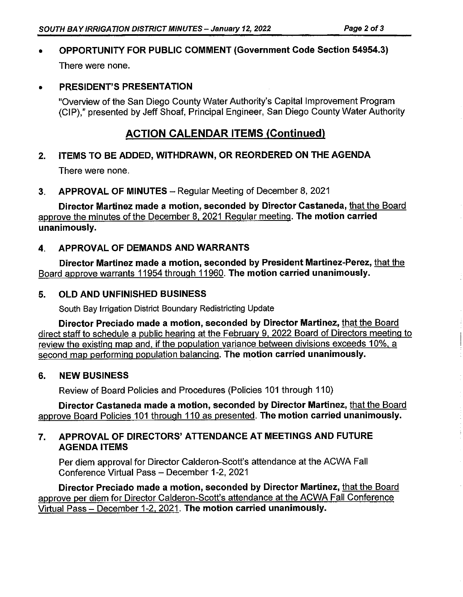# • **OPPORTUNITY FOR PUBLIC COMMENT (Government Code Section 54954.3)**  There were none.

## • **PRESIDENT'S PRESENTATION**

"Overview of the San Diego County Water Authority's Capital Improvement Program (CIP)," presented by Jeff Shoaf, Principal Engineer, San Diego County Water Authority

# **ACTION CALENDAR ITEMS (Continued)**

# **2. ITEMS TO BE ADDED, WITHDRAWN, OR REORDERED ON THE AGENDA**

There were none.

**3. APPROVAL OF MINUTES** - Regular Meeting of December 8, 2021

**Director Martinez made a motion, seconded by Director Castaneda,** that the Board approve the minutes of the December 8. 2021 Regular meeting. **The motion carried unanimously.** 

## **4. APPROVAL OF DEMANDS AND WARRANTS**

**Director Martinez made a motion, seconded by President Martinez-Perez,** that the Board approve warrants 11954 through 11960. **The motion carried unanimously.** 

## **5. OLD AND UNFINISHED BUSINESS**

South Bay Irrigation District Boundary Redistricting Update

**Director Preciado made a motion. seconded by Director Martinez,** that the Board direct staff to schedule a public hearing at the February 9. 2022 Board of Directors meeting to review the existing map and. if the population variance between divisions exceeds 10%. a second map performing population balancing. **The motion carried unanimously.** 

### **6. NEW BUSINESS**

Review of Board Policies and Procedures (Policies 101 through 110)

**Director Castaneda made a motion, seconded by Director Martinez,** that the Board approve Board Policies 101 through 110 as presented. **The motion carried unanimously.** 

## **7. APPROVAL OF DIRECTORS' ATTENDANCE AT MEETINGS AND FUTURE AGENDA ITEMS**

Per diem approval for Director Calderon-Scott's attendance at the ACWA Fall Conference Virtual Pass - December 1-2, 2021

**Director Preciado made a motion, seconded by Director Martinez,** that the Board approve per diem for Director Calderon-Scott's attendance at the ACWA Fall Conference Virtual Pass - December 1-2. 2021. **The motion carried unanimously.**